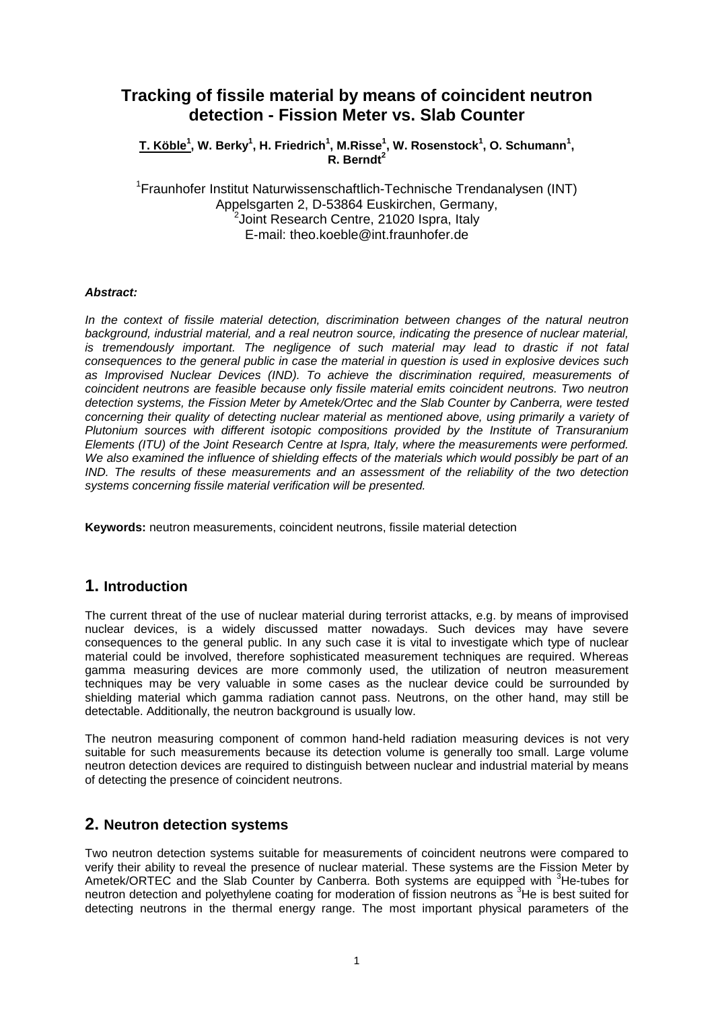# **Tracking of fissile material by means of coincident neutron detection - Fission Meter vs. Slab Counter**

 $\mathbf{T}.$  Köble $^1$ , W. Berky $^1$ , H. Friedrich $^1$ , M.Risse $^1$ , W. Rosenstock $^1$ , O. Schumann $^1,$ **R. Berndt<sup>2</sup>**

<sup>1</sup>Fraunhofer Institut Naturwissenschaftlich-Technische Trendanalysen (INT) Appelsgarten 2, D-53864 Euskirchen, Germany,  $^{2}$ Joint Research Centre, 21020 Ispra, Italy E-mail: theo.koeble@int.fraunhofer.de

#### *Abstract:*

*In the context of fissile material detection, discrimination between changes of the natural neutron background, industrial material, and a real neutron source, indicating the presence of nuclear material, is tremendously important. The negligence of such material may lead to drastic if not fatal consequences to the general public in case the material in question is used in explosive devices such as Improvised Nuclear Devices (IND). To achieve the discrimination required, measurements of coincident neutrons are feasible because only fissile material emits coincident neutrons. Two neutron detection systems, the Fission Meter by Ametek/Ortec and the Slab Counter by Canberra, were tested concerning their quality of detecting nuclear material as mentioned above, using primarily a variety of Plutonium sources with different isotopic compositions provided by the Institute of Transuranium Elements (ITU) of the Joint Research Centre at Ispra, Italy, where the measurements were performed. We also examined the influence of shielding effects of the materials which would possibly be part of an IND. The results of these measurements and an assessment of the reliability of the two detection systems concerning fissile material verification will be presented.*

**Keywords:** neutron measurements, coincident neutrons, fissile material detection

#### **1. Introduction**

The current threat of the use of nuclear material during terrorist attacks, e.g. by means of improvised nuclear devices, is a widely discussed matter nowadays. Such devices may have severe consequences to the general public. In any such case it is vital to investigate which type of nuclear material could be involved, therefore sophisticated measurement techniques are required. Whereas gamma measuring devices are more commonly used, the utilization of neutron measurement techniques may be very valuable in some cases as the nuclear device could be surrounded by shielding material which gamma radiation cannot pass. Neutrons, on the other hand, may still be detectable. Additionally, the neutron background is usually low.

The neutron measuring component of common hand-held radiation measuring devices is not very suitable for such measurements because its detection volume is generally too small. Large volume neutron detection devices are required to distinguish between nuclear and industrial material by means of detecting the presence of coincident neutrons.

#### **2. Neutron detection systems**

Two neutron detection systems suitable for measurements of coincident neutrons were compared to verify their ability to reveal the presence of nuclear material. These systems are the Fission Meter by Ametek/ORTEC and the Slab Counter by Canberra. Both systems are equipped with <sup>3</sup>He-tubes for neutron detection and polyethylene coating for moderation of fission neutrons as <sup>3</sup>He is best suited for detecting neutrons in the thermal energy range. The most important physical parameters of the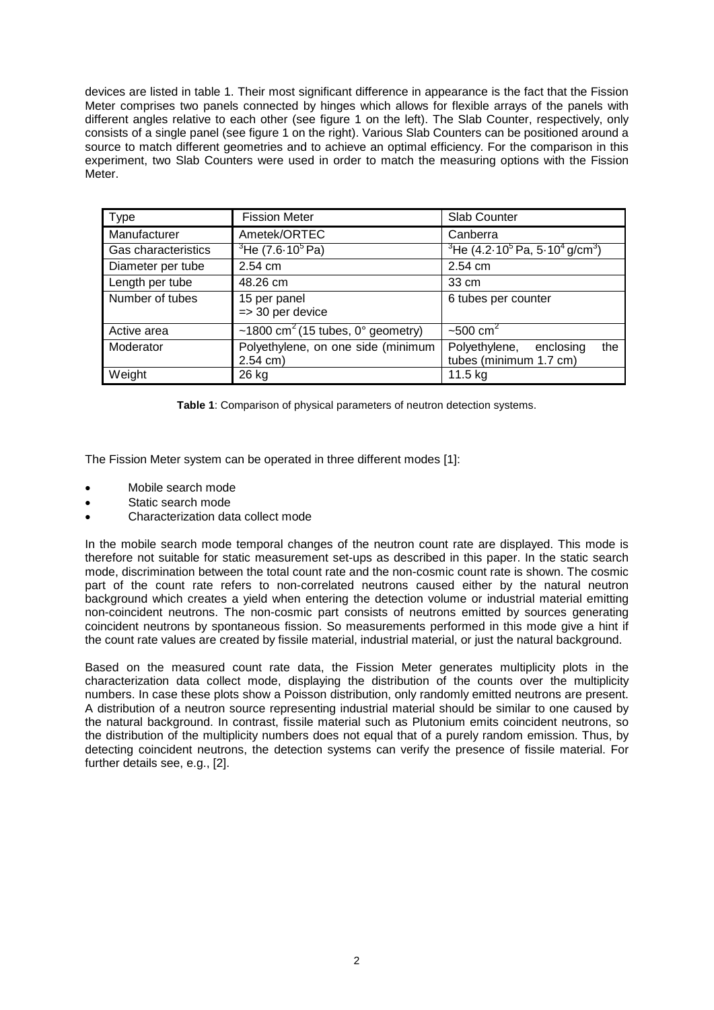devices are listed in table 1. Their most significant difference in appearance is the fact that the Fission Meter comprises two panels connected by hinges which allows for flexible arrays of the panels with different angles relative to each other (see figure 1 on the left). The Slab Counter, respectively, only consists of a single panel (see figure 1 on the right). Various Slab Counters can be positioned around a source to match different geometries and to achieve an optimal efficiency. For the comparison in this experiment, two Slab Counters were used in order to match the measuring options with the Fission Meter.

| <b>Type</b>         | <b>Fission Meter</b>                                   | Slab Counter                                               |  |  |
|---------------------|--------------------------------------------------------|------------------------------------------------------------|--|--|
| Manufacturer        | Ametek/ORTEC                                           | Canberra                                                   |  |  |
| Gas characteristics | $3$ He (7.6-10 $5$ Pa)                                 | $3$ He (4.2 $\cdot$ 10 $5$ Pa, 5 $\cdot$ 10 $4$ g/cm $3$ ) |  |  |
| Diameter per tube   | $2.54$ cm                                              | 2.54 cm                                                    |  |  |
| Length per tube     | 48.26 cm                                               | 33 cm                                                      |  |  |
| Number of tubes     | 15 per panel<br>$\Rightarrow$ 30 per device            | 6 tubes per counter                                        |  |  |
| Active area         | ~1800 cm <sup>2</sup> (15 tubes, $0^{\circ}$ geometry) | $-500$ cm <sup>2</sup>                                     |  |  |
| Moderator           | Polyethylene, on one side (minimum<br>$2.54$ cm)       | Polyethylene, enclosing<br>the<br>tubes (minimum 1.7 cm)   |  |  |
| Weight              | 26 kg                                                  | 11.5 kg                                                    |  |  |

**Table 1**: Comparison of physical parameters of neutron detection systems.

The Fission Meter system can be operated in three different modes [1]:

- Mobile search mode
- Static search mode
- Characterization data collect mode

In the mobile search mode temporal changes of the neutron count rate are displayed. This mode is therefore not suitable for static measurement set-ups as described in this paper. In the static search mode, discrimination between the total count rate and the non-cosmic count rate is shown. The cosmic part of the count rate refers to non-correlated neutrons caused either by the natural neutron background which creates a yield when entering the detection volume or industrial material emitting non-coincident neutrons. The non-cosmic part consists of neutrons emitted by sources generating coincident neutrons by spontaneous fission. So measurements performed in this mode give a hint if the count rate values are created by fissile material, industrial material, or just the natural background.

Based on the measured count rate data, the Fission Meter generates multiplicity plots in the characterization data collect mode, displaying the distribution of the counts over the multiplicity numbers. In case these plots show a Poisson distribution, only randomly emitted neutrons are present. A distribution of a neutron source representing industrial material should be similar to one caused by the natural background. In contrast, fissile material such as Plutonium emits coincident neutrons, so the distribution of the multiplicity numbers does not equal that of a purely random emission. Thus, by detecting coincident neutrons, the detection systems can verify the presence of fissile material. For further details see, e.g., [2].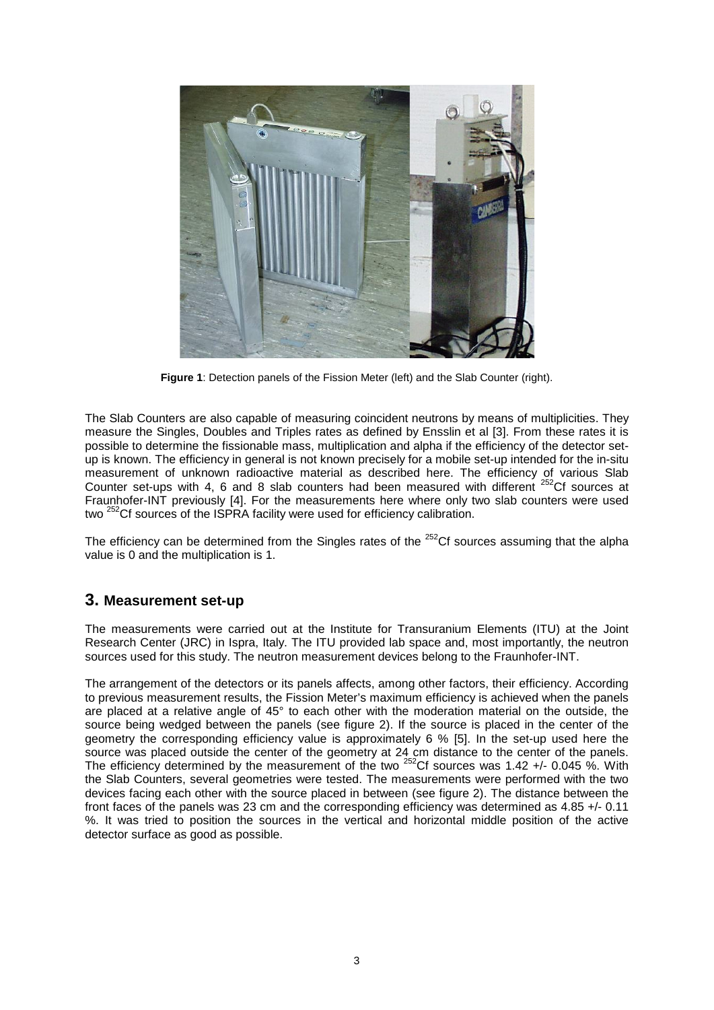

**Figure 1**: Detection panels of the Fission Meter (left) and the Slab Counter (right).

The Slab Counters are also capable of measuring coincident neutrons by means of multiplicities. They measure the Singles, Doubles and Triples rates as defined by Ensslin et al [3]. From these rates it is possible to determine the fissionable mass, multiplication and alpha if the efficiency of the detector setup is known. The efficiency in general is not known precisely for a mobile set-up intended for the in-situ measurement of unknown radioactive material as described here. The efficiency of various Slab Counter set-ups with 4, 6 and 8 slab counters had been measured with different  $252$ Cf sources at Fraunhofer-INT previously [4]. For the measurements here where only two slab counters were used two 252Cf sources of the ISPRA facility were used for efficiency calibration.

The efficiency can be determined from the Singles rates of the  $252$ Cf sources assuming that the alpha value is 0 and the multiplication is 1.

### **3. Measurement set-up**

The measurements were carried out at the Institute for Transuranium Elements (ITU) at the Joint Research Center (JRC) in Ispra, Italy. The ITU provided lab space and, most importantly, the neutron sources used for this study. The neutron measurement devices belong to the Fraunhofer-INT.

The arrangement of the detectors or its panels affects, among other factors, their efficiency. According to previous measurement results, the Fission Meter's maximum efficiency is achieved when the panels are placed at a relative angle of 45° to each other with the moderation material on the outside, the source being wedged between the panels (see figure 2). If the source is placed in the center of the geometry the corresponding efficiency value is approximately 6 % [5]. In the set-up used here the source was placed outside the center of the geometry at 24 cm distance to the center of the panels. The efficiency determined by the measurement of the two <sup>252</sup>Cf sources was 1.42 +/- 0.045 %. With the Slab Counters, several geometries were tested. The measurements were performed with the two devices facing each other with the source placed in between (see figure 2). The distance between the front faces of the panels was 23 cm and the corresponding efficiency was determined as 4.85 +/- 0.11 %. It was tried to position the sources in the vertical and horizontal middle position of the active detector surface as good as possible.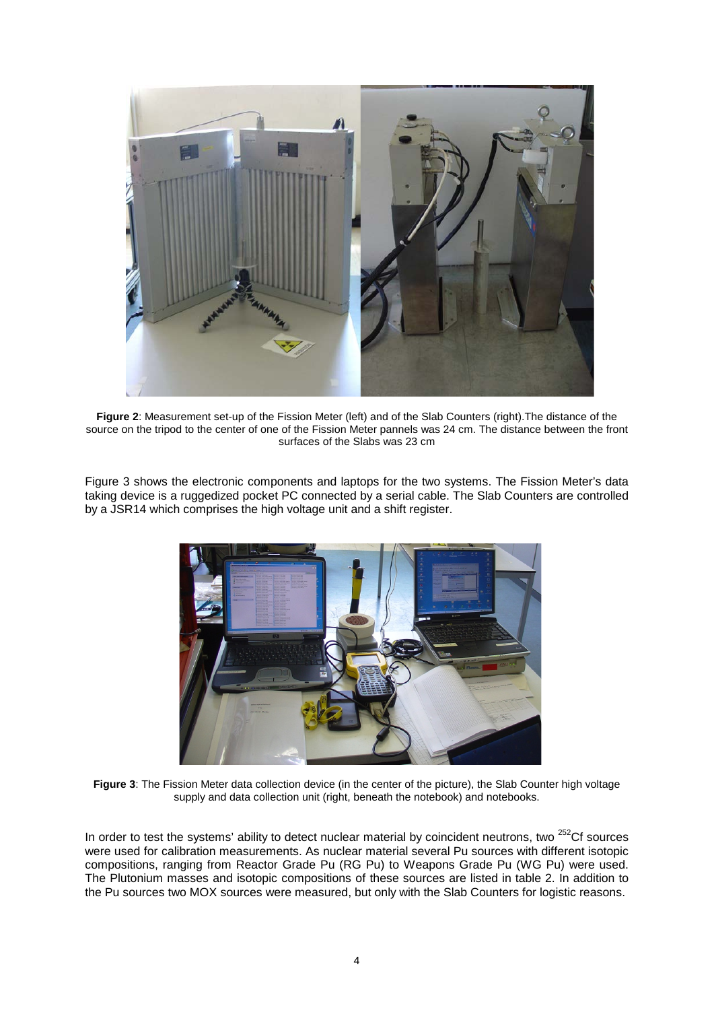

**Figure 2**: Measurement set-up of the Fission Meter (left) and of the Slab Counters (right).The distance of the source on the tripod to the center of one of the Fission Meter pannels was 24 cm. The distance between the front surfaces of the Slabs was 23 cm

Figure 3 shows the electronic components and laptops for the two systems. The Fission Meter's data taking device is a ruggedized pocket PC connected by a serial cable. The Slab Counters are controlled by a JSR14 which comprises the high voltage unit and a shift register.



**Figure 3**: The Fission Meter data collection device (in the center of the picture), the Slab Counter high voltage supply and data collection unit (right, beneath the notebook) and notebooks.

In order to test the systems' ability to detect nuclear material by coincident neutrons, two <sup>252</sup>Cf sources were used for calibration measurements. As nuclear material several Pu sources with different isotopic compositions, ranging from Reactor Grade Pu (RG Pu) to Weapons Grade Pu (WG Pu) were used. The Plutonium masses and isotopic compositions of these sources are listed in table 2. In addition to the Pu sources two MOX sources were measured, but only with the Slab Counters for logistic reasons.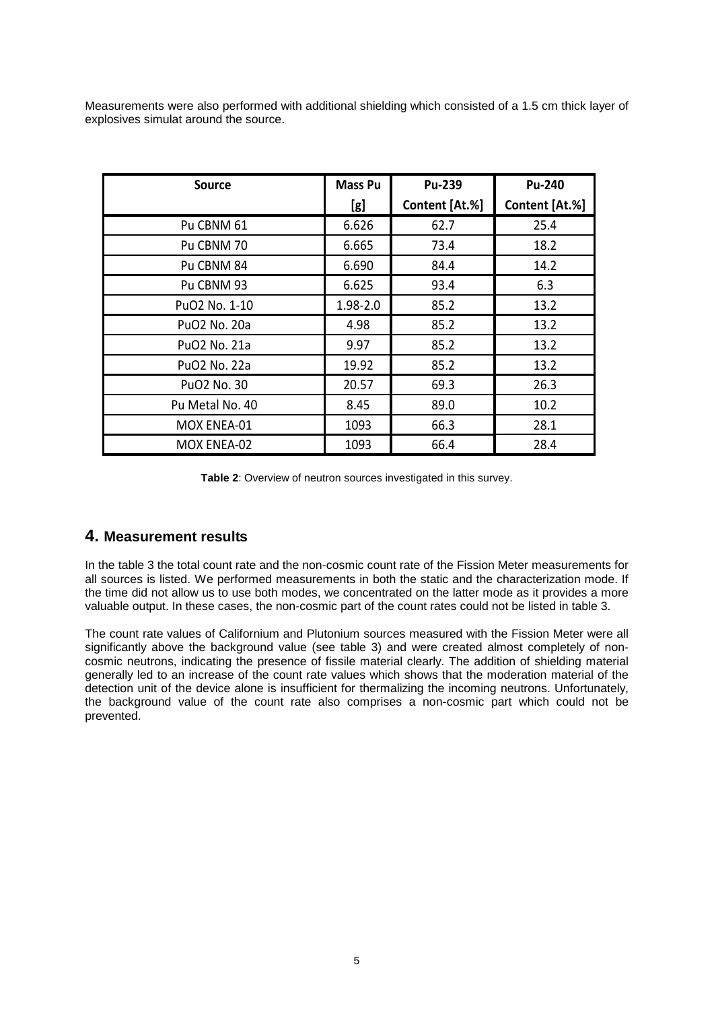Measurements were also performed with additional shielding which consisted of a 1.5 cm thick layer of explosives simulat around the source.

| <b>Source</b>             | <b>Mass Pu</b> | <b>Pu-239</b>  | <b>Pu-240</b>  |
|---------------------------|----------------|----------------|----------------|
|                           | [g]            | Content [At.%] | Content [At.%] |
| Pu CBNM 61                | 6.626          | 62.7           | 25.4           |
| Pu CBNM 70                | 6.665          | 73.4           | 18.2           |
| Pu CBNM 84                | 6.690          | 84.4           | 14.2           |
| Pu CBNM 93                | 6.625          | 93.4           | 6.3            |
| PuO <sub>2</sub> No. 1-10 | 1.98-2.0       | 85.2           | 13.2           |
| PuO <sub>2</sub> No. 20a  | 4.98           | 85.2           | 13.2           |
| PuO <sub>2</sub> No. 21a  | 9.97           | 85.2           | 13.2           |
| PuO2 No. 22a              | 19.92          | 85.2           | 13.2           |
| PuO2 No. 30               | 20.57          | 69.3           | 26.3           |
| Pu Metal No. 40           | 8.45           | 89.0           | 10.2           |
| MOX ENEA-01               | 1093           | 66.3           | 28.1           |
| MOX ENEA-02               | 1093           | 66.4           | 28.4           |

**Table 2**: Overview of neutron sources investigated in this survey.

### **4. Measurement results**

In the table 3 the total count rate and the non-cosmic count rate of the Fission Meter measurements for all sources is listed. We performed measurements in both the static and the characterization mode. If the time did not allow us to use both modes, we concentrated on the latter mode as it provides a more valuable output. In these cases, the non-cosmic part of the count rates could not be listed in table 3.

The count rate values of Californium and Plutonium sources measured with the Fission Meter were all significantly above the background value (see table 3) and were created almost completely of noncosmic neutrons, indicating the presence of fissile material clearly. The addition of shielding material generally led to an increase of the count rate values which shows that the moderation material of the detection unit of the device alone is insufficient for thermalizing the incoming neutrons. Unfortunately, the background value of the count rate also comprises a non-cosmic part which could not be prevented.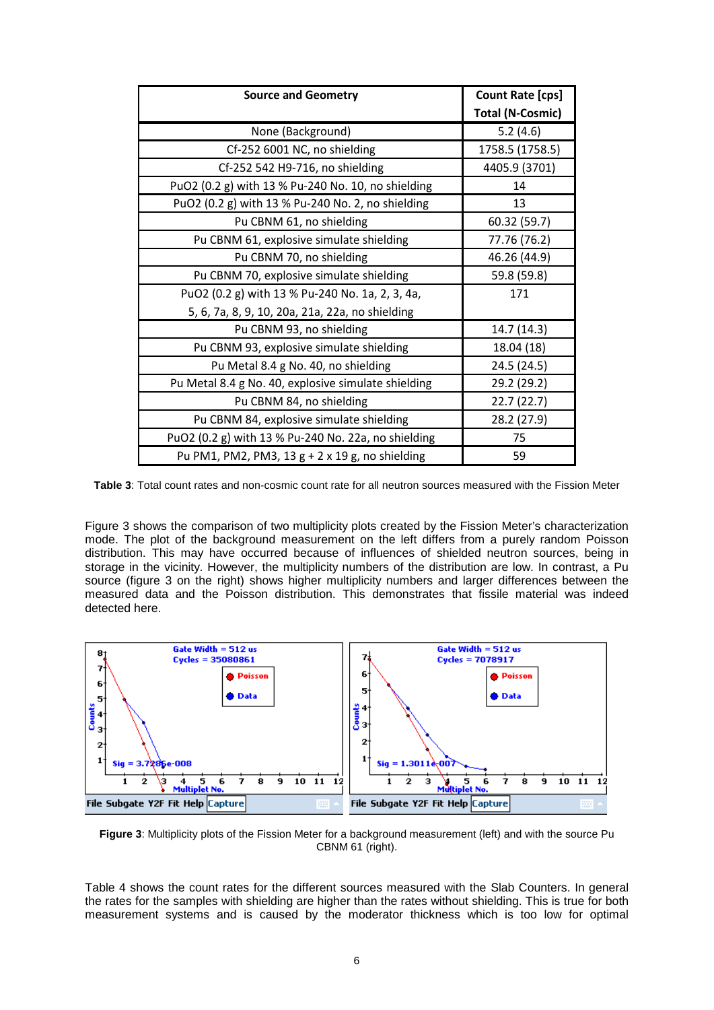| <b>Source and Geometry</b>                          | Count Rate [cps]        |  |  |
|-----------------------------------------------------|-------------------------|--|--|
|                                                     | <b>Total (N-Cosmic)</b> |  |  |
| None (Background)                                   | 5.2(4.6)                |  |  |
| Cf-252 6001 NC, no shielding                        | 1758.5 (1758.5)         |  |  |
| Cf-252 542 H9-716, no shielding                     | 4405.9 (3701)           |  |  |
| PuO2 (0.2 g) with 13 % Pu-240 No. 10, no shielding  | 14                      |  |  |
| PuO2 (0.2 g) with 13 % Pu-240 No. 2, no shielding   | 13                      |  |  |
| Pu CBNM 61, no shielding                            | 60.32 (59.7)            |  |  |
| Pu CBNM 61, explosive simulate shielding            | 77.76 (76.2)            |  |  |
| Pu CBNM 70, no shielding                            | 46.26 (44.9)            |  |  |
| Pu CBNM 70, explosive simulate shielding            | 59.8 (59.8)             |  |  |
| PuO2 (0.2 g) with 13 % Pu-240 No. 1a, 2, 3, 4a,     | 171                     |  |  |
| 5, 6, 7a, 8, 9, 10, 20a, 21a, 22a, no shielding     |                         |  |  |
| Pu CBNM 93, no shielding                            | 14.7 (14.3)             |  |  |
| Pu CBNM 93, explosive simulate shielding            | 18.04 (18)              |  |  |
| Pu Metal 8.4 g No. 40, no shielding                 | 24.5 (24.5)             |  |  |
| Pu Metal 8.4 g No. 40, explosive simulate shielding | 29.2 (29.2)             |  |  |
| Pu CBNM 84, no shielding                            | 22.7(22.7)              |  |  |
| Pu CBNM 84, explosive simulate shielding            | 28.2 (27.9)             |  |  |
| PuO2 (0.2 g) with 13 % Pu-240 No. 22a, no shielding | 75                      |  |  |
| Pu PM1, PM2, PM3, 13 g + 2 x 19 g, no shielding     | 59                      |  |  |

**Table 3**: Total count rates and non-cosmic count rate for all neutron sources measured with the Fission Meter

Figure 3 shows the comparison of two multiplicity plots created by the Fission Meter's characterization mode. The plot of the background measurement on the left differs from a purely random Poisson distribution. This may have occurred because of influences of shielded neutron sources, being in storage in the vicinity. However, the multiplicity numbers of the distribution are low. In contrast, a Pu source (figure 3 on the right) shows higher multiplicity numbers and larger differences between the measured data and the Poisson distribution. This demonstrates that fissile material was indeed detected here.



**Figure 3**: Multiplicity plots of the Fission Meter for a background measurement (left) and with the source Pu CBNM 61 (right).

Table 4 shows the count rates for the different sources measured with the Slab Counters. In general the rates for the samples with shielding are higher than the rates without shielding. This is true for both measurement systems and is caused by the moderator thickness which is too low for optimal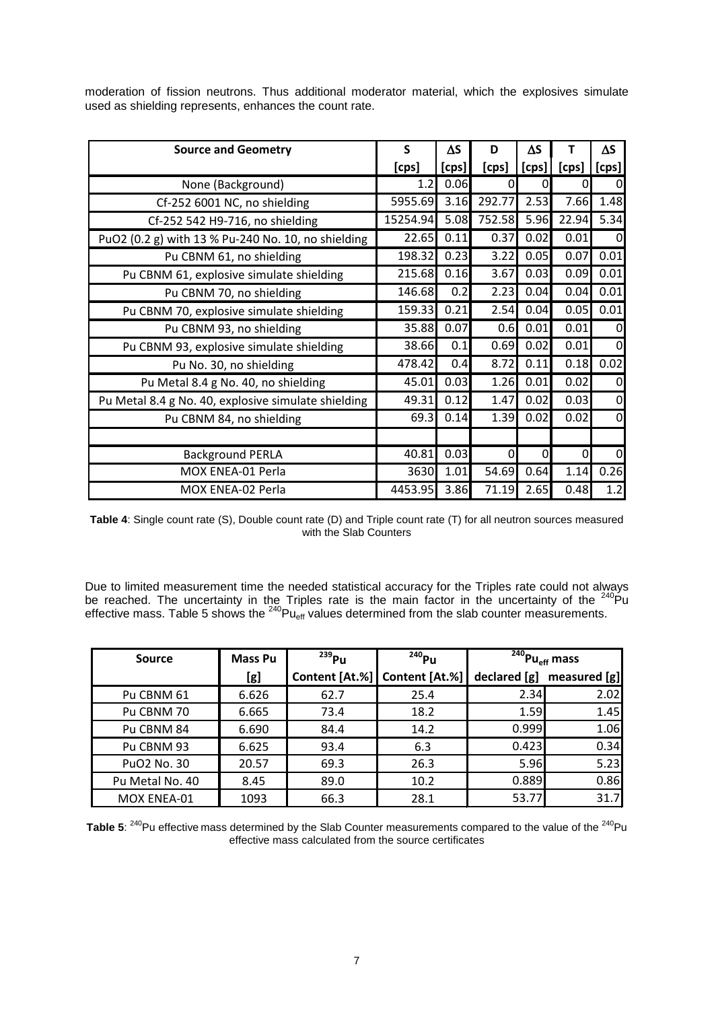| <b>Source and Geometry</b>                          | S                | ΔS    | D      | ΔS    |          | $\Delta S$  |
|-----------------------------------------------------|------------------|-------|--------|-------|----------|-------------|
|                                                     | [cps]            | [cps] | [cps]  | [cps] | [cps]    | [cps]       |
| None (Background)                                   | 1.2 <sub>l</sub> | 0.06  | 0l     | 0     | 0        | 0           |
| Cf-252 6001 NC, no shielding                        | 5955.69          | 3.16  | 292.77 | 2.53  | 7.66     | 1.48        |
| Cf-252 542 H9-716, no shielding                     | 15254.94         | 5.08  | 752.58 | 5.96  | 22.94    | 5.34        |
| PuO2 (0.2 g) with 13 % Pu-240 No. 10, no shielding  | 22.65            | 0.11  | 0.37   | 0.02  | 0.01     | $\Omega$    |
| Pu CBNM 61, no shielding                            | 198.32           | 0.23  | 3.22   | 0.05  | 0.07     | 0.01        |
| Pu CBNM 61, explosive simulate shielding            | 215.68           | 0.16  | 3.67   | 0.03  | 0.09     | 0.01        |
| Pu CBNM 70, no shielding                            | 146.68           | 0.2   | 2.23   | 0.04  | 0.04     | 0.01        |
| Pu CBNM 70, explosive simulate shielding            | 159.33           | 0.21  | 2.54   | 0.04  | 0.05     | 0.01        |
| Pu CBNM 93, no shielding                            | 35.88            | 0.07  | 0.6    | 0.01  | 0.01     | $\Omega$    |
| Pu CBNM 93, explosive simulate shielding            | 38.66            | 0.1   | 0.69   | 0.02  | 0.01     | $\Omega$    |
| Pu No. 30, no shielding                             | 478.42           | 0.4   | 8.72   | 0.11  | 0.18     | 0.02        |
| Pu Metal 8.4 g No. 40, no shielding                 | 45.01            | 0.03  | 1.26   | 0.01  | 0.02     | 0           |
| Pu Metal 8.4 g No. 40, explosive simulate shielding | 49.31            | 0.12  | 1.47   | 0.02  | 0.03     | $\mathbf 0$ |
| Pu CBNM 84, no shielding                            | 69.3             | 0.14  | 1.39   | 0.02  | 0.02     | $\mathbf 0$ |
|                                                     |                  |       |        |       |          |             |
| <b>Background PERLA</b>                             | 40.81            | 0.03  | 0      | 0     | $\Omega$ | $\mathbf 0$ |
| MOX ENEA-01 Perla                                   | 3630             | 1.01  | 54.69  | 0.64  | 1.14     | 0.26        |
| MOX ENEA-02 Perla                                   | 4453.95          | 3.86  | 71.19  | 2.65  | 0.48     | 1.2         |

moderation of fission neutrons. Thus additional moderator material, which the explosives simulate used as shielding represents, enhances the count rate.

**Table 4**: Single count rate (S), Double count rate (D) and Triple count rate (T) for all neutron sources measured with the Slab Counters

Due to limited measurement time the needed statistical accuracy for the Triples rate could not always be reached. The uncertainty in the Triples rate is the main factor in the uncertainty of the  $240$ Pu effective mass. Table 5 shows the  $^{240}Pu_{eff}$  values determined from the slab counter measurements.

| Source                  | <b>Mass Pu</b> | $^{239}$ Pu | $240$ Pu                      | $\overline{^{240}}$ Pu <sub>eff</sub> mass |              |
|-------------------------|----------------|-------------|-------------------------------|--------------------------------------------|--------------|
|                         | [g]            |             | Content [At.%] Content [At.%] | declared [g]                               | measured [g] |
| Pu CBNM 61              | 6.626          | 62.7        | 25.4                          | 2.34                                       | 2.02         |
| Pu CBNM 70              | 6.665          | 73.4        | 18.2                          | 1.59                                       | 1.45         |
| Pu CBNM 84              | 6.690          | 84.4        | 14.2                          | 0.999                                      | 1.06         |
| Pu CBNM 93              | 6.625          | 93.4        | 6.3                           | 0.423                                      | 0.34         |
| PuO <sub>2</sub> No. 30 | 20.57          | 69.3        | 26.3                          | 5.96                                       | 5.23         |
| Pu Metal No. 40         | 8.45           | 89.0        | 10.2                          | 0.889                                      | 0.86         |
| MOX ENEA-01             | 1093           | 66.3        | 28.1                          | 53.77                                      | 31.7         |

Table 5: <sup>240</sup>Pu effective mass determined by the Slab Counter measurements compared to the value of the <sup>240</sup>Pu effective mass calculated from the source certificates